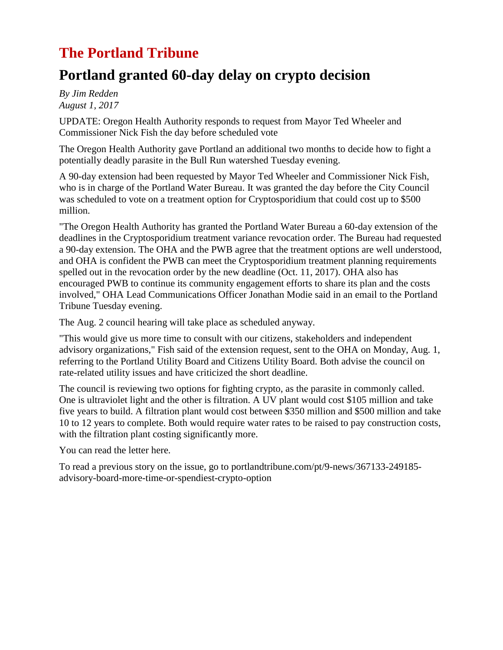## **The Portland Tribune**

## **Portland granted 60-day delay on crypto decision**

*By Jim Redden August 1, 2017*

UPDATE: Oregon Health Authority responds to request from Mayor Ted Wheeler and Commissioner Nick Fish the day before scheduled vot[e](http://cni.pmgnews.com/images/artimg/00003584448628.jpg)

The Oregon Health Authority gave Portland an additional two months to decide how to fight a potentially deadly parasite in the Bull Run watershed Tuesday evening.

A 90-day extension had been requested by Mayor Ted Wheeler and Commissioner Nick Fish, who is in charge of the Portland Water Bureau. It was granted the day before the City Council was scheduled to vote on a treatment option for Cryptosporidium that could cost up to \$500 million.

"The Oregon Health Authority has granted the Portland Water Bureau a 60-day extension of the deadlines in the Cryptosporidium treatment variance revocation order. The Bureau had requested a 90-day extension. The OHA and the PWB agree that the treatment options are well understood, and OHA is confident the PWB can meet the Cryptosporidium treatment planning requirements spelled out in the revocation order by the new deadline (Oct. 11, 2017). OHA also has encouraged PWB to continue its community engagement efforts to share its plan and the costs involved," OHA Lead Communications Officer Jonathan Modie said in an email to the Portland Tribune Tuesday evening.

The Aug. 2 council hearing will take place as scheduled anyway.

"This would give us more time to consult with our citizens, stakeholders and independent advisory organizations," Fish said of the extension request, sent to the OHA on Monday, Aug. 1, referring to the Portland Utility Board and Citizens Utility Board. Both advise the council on rate-related utility issues and have criticized the short deadline.

The council is reviewing two options for fighting crypto, as the parasite in commonly called. One is ultraviolet light and the other is filtration. A UV plant would cost \$105 million and take five years to build. A filtration plant would cost between \$350 million and \$500 million and take 10 to 12 years to complete. Both would require water rates to be raised to pay construction costs, with the filtration plant costing significantly more.

You can read the letter [here.](http://cni.pmgnews.com/documents/artdocs/00003584448560.pdf)

To read a previous story on the issue, go to [portlandtribune.com/pt/9-news/367133-249185](http://portlandtribune.com/pt/9-news/367133-249185-advisory-board-more-time-or-spendiest-crypto-option) [advisory-board-more-time-or-spendiest-crypto-option](http://portlandtribune.com/pt/9-news/367133-249185-advisory-board-more-time-or-spendiest-crypto-option)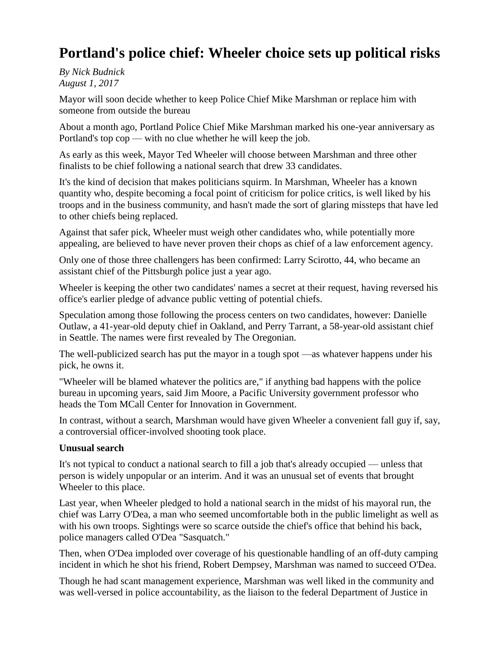## **Portland's police chief: Wheeler choice sets up political risks**

*By Nick Budnick August 1, 2017*

Mayor will soon decide whether to keep Police Chief Mike Marshman or replace him with someone from outside the burea[u](http://cni.pmgnews.com/images/artimg/00003584414857.jpg)

About a month ago, Portland Police Chief Mike Marshman marked his one-year anniversary as Portland's top cop — with no clue whether he will keep the job.

As early as this week, Mayor Ted Wheeler will choose between Marshman and three other finalists to be chief following a national search that drew 33 candidates.

It's the kind of decision that makes politicians squirm. In Marshman, Wheeler has a known quantity who, despite becoming a focal point of criticism for police critics, is well liked by his troops and in the business community, and hasn't made the sort of glaring missteps that have led to other chiefs being replaced.

Against that safer pick, Wheeler must weigh other candidates who, while potentially more appealing, are believed to have never proven their chops as chief of a law enforcement agency.

Only one of those three challengers has been confirmed: Larry Scirotto, 44, who became an assistant chief of the Pittsburgh police just a year ago.

Wheeler is keeping the other two candidates' names a secret at their request, having reversed his office's earlier pledge of advance public vetting of potential chiefs.

Speculation among those following the process centers on two candidates, however: Danielle Outlaw, a 41-year-old deputy chief in Oakland, and Perry Tarrant, a 58-year-old assistant chief in Seattle. The names were first revealed by The Oregonian.

The well-publicized search has put the mayor in a tough spot —as whatever happens under his pick, he owns it.

"Wheeler will be blamed whatever the politics are," if anything bad happens with the police bureau in upcoming years, said Jim Moore, a Pacific University government professor who heads the Tom MCall Center for Innovation in Government.

In contrast, without a search, Marshman would have given Wheeler a convenient fall guy if, say, a controversial officer-involved shooting took place.

#### **Unusual search**

It's not typical to conduct a national search to fill a job that's already occupied — unless that person is widely unpopular or an interim. And it was an unusual set of events that brought Wheeler to this place.

Last year, when Wheeler pledged to hold a national search in the midst of his mayoral run, the chief was Larry O'Dea, a man who seemed uncomfortable both in the public limelight as well as with his own troops. Sightings were so scarce outside the chief's office that behind his back, police managers called O'Dea "Sasquatch."

Then, when O'Dea imploded over coverage of his questionable handling of an off-duty camping incident in which he shot his friend, Robert Dempsey, Marshman was named to succeed O'Dea.

Though he had scant management experience, Marshman was well liked in the community and was well-versed in police accountability, as the liaison to the federal Department of Justice in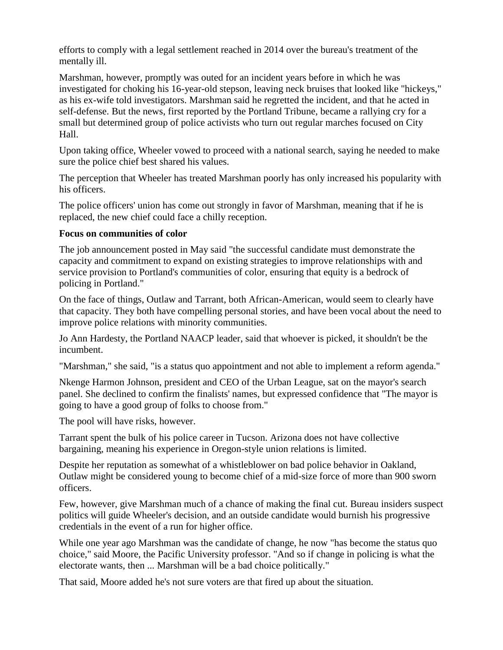efforts to comply with a legal settlement reached in 2014 over the bureau's treatment of the mentally ill.

Marshman, however, promptly was outed for an incident years before in which he was investigated for choking his 16-year-old stepson, leaving neck bruises that looked like "hickeys," as his ex-wife told investigators. Marshman said he regretted the incident, and that he acted in self-defense. But the news, first reported by the Portland Tribune, became a rallying cry for a small but determined group of police activists who turn out regular marches focused on City Hall.

Upon taking office, Wheeler vowed to proceed with a national search, saying he needed to make sure the police chief best shared his values.

The perception that Wheeler has treated Marshman poorly has only increased his popularity with his officers.

The police officers' union has come out strongly in favor of Marshman, meaning that if he is replaced, the new chief could face a chilly reception.

#### **Focus on communities of color**

The job announcement posted in May said "the successful candidate must demonstrate the capacity and commitment to expand on existing strategies to improve relationships with and service provision to Portland's communities of color, ensuring that equity is a bedrock of policing in Portland."

On the face of things, Outlaw and Tarrant, both African-American, would seem to clearly have that capacity. They both have compelling personal stories, and have been vocal about the need to improve police relations with minority communities.

Jo Ann Hardesty, the Portland NAACP leader, said that whoever is picked, it shouldn't be the incumbent.

"Marshman," she said, "is a status quo appointment and not able to implement a reform agenda."

Nkenge Harmon Johnson, president and CEO of the Urban League, sat on the mayor's search panel. She declined to confirm the finalists' names, but expressed confidence that "The mayor is going to have a good group of folks to choose from."

The pool will have risks, however.

Tarrant spent the bulk of his police career in Tucson. Arizona does not have collective bargaining, meaning his experience in Oregon-style union relations is limited.

Despite her reputation as somewhat of a whistleblower on bad police behavior in Oakland, Outlaw might be considered young to become chief of a mid-size force of more than 900 sworn officers.

Few, however, give Marshman much of a chance of making the final cut. Bureau insiders suspect politics will guide Wheeler's decision, and an outside candidate would burnish his progressive credentials in the event of a run for higher office.

While one year ago Marshman was the candidate of change, he now "has become the status quo choice," said Moore, the Pacific University professor. "And so if change in policing is what the electorate wants, then ... Marshman will be a bad choice politically."

That said, Moore added he's not sure voters are that fired up about the situation.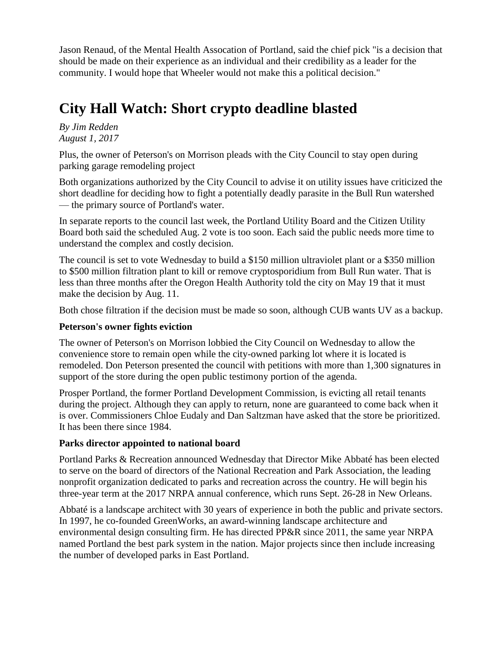Jason Renaud, of the Mental Health Assocation of Portland, said the chief pick "is a decision that should be made on their experience as an individual and their credibility as a leader for the community. I would hope that Wheeler would not make this a political decision."

# **City Hall Watch: Short crypto deadline blasted**

*By Jim Redden August 1, 2017*

Plus, the owner of Peterson's on Morrison pleads with the City Council to stay open during parking garage remodeling project

Both organizations authorized by the City Council to advise it on utility issues have criticized the short deadline for deciding how to fight a potentially deadly parasite in the Bull Run watershed — the primary source of Portland's water.

In separate reports to the council last week, the Portland Utility Board and the Citizen Utility Board both said the scheduled Aug. 2 vote is too soon. Each said the public needs more time to understand the complex and costly decision.

The council is set to vote Wednesday to build a \$150 million ultraviolet plant or a \$350 million to \$500 million filtration plant to kill or remove cryptosporidium from Bull Run water. That is less than three months after the Oregon Health Authority told the city on May 19 that it must make the decision by Aug. 11.

Both chose filtration if the decision must be made so soon, although CUB wants UV as a backup.

#### **Peterson's owner fights eviction**

The owner of Peterson's on Morrison lobbied the City Council on Wednesday to allow the convenience store to remain open while the city-owned parking lot where it is located is remodeled. Don Peterson presented the council with petitions with more than 1,300 signatures in support of the store during the open public testimony portion of the agenda.

Prosper Portland, the former Portland Development Commission, is evicting all retail tenants during the project. Although they can apply to return, none are guaranteed to come back when it is over. Commissioners Chloe Eudaly and Dan Saltzman have asked that the store be prioritized. It has been there since 1984.

#### **Parks director appointed to national board**

Portland Parks & Recreation announced Wednesday that Director Mike Abbaté has been elected to serve on the board of directors of the National Recreation and Park Association, the leading nonprofit organization dedicated to parks and recreation across the country. He will begin his three-year term at the 2017 NRPA annual conference, which runs Sept. 26-28 in New Orleans.

Abbaté is a landscape architect with 30 years of experience in both the public and private sectors. In 1997, he co-founded GreenWorks, an award-winning landscape architecture and environmental design consulting firm. He has directed PP&R since 2011, the same year NRPA named Portland the best park system in the nation. Major projects since then include increasing the number of developed parks in East Portland.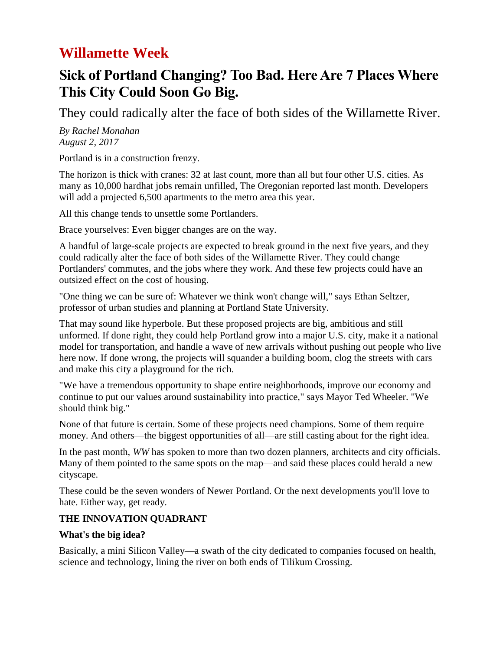## **Willamette Week**

## **Sick of Portland Changing? Too Bad. Here Are 7 Places Where This City Could Soon Go Big.**

They could radically alter the face of both sides of the Willamette River.

*By Rachel Monahan August 2, 2017*

Portland is in a construction frenzy.

The horizon is thick with cranes: 32 at last count, more than all but four other U.S. cities. As many as 10,000 hardhat jobs remain unfilled, The Oregonian reported last month. Developers will add a projected 6,500 apartments to the metro area this year.

All this change tends to unsettle some Portlanders.

Brace yourselves: Even bigger changes are on the way.

A handful of large-scale projects are expected to break ground in the next five years, and they could radically alter the face of both sides of the Willamette River. They could change Portlanders' commutes, and the jobs where they work. And these few projects could have an outsized effect on the cost of housing.

"One thing we can be sure of: Whatever we think won't change will," says Ethan Seltzer, professor of urban studies and planning at Portland State University.

That may sound like hyperbole. But these proposed projects are big, ambitious and still unformed. If done right, they could help Portland grow into a major U.S. city, make it a national model for transportation, and handle a wave of new arrivals without pushing out people who live here now. If done wrong, the projects will squander a building boom, clog the streets with cars and make this city a playground for the rich.

"We have a tremendous opportunity to shape entire neighborhoods, improve our economy and continue to put our values around sustainability into practice," says Mayor Ted Wheeler. "We should think big."

None of that future is certain. Some of these projects need champions. Some of them require money. And others—the biggest opportunities of all—are still casting about for the right idea.

In the past month, *WW* has spoken to more than two dozen planners, architects and city officials. Many of them pointed to the same spots on the map—and said these places could herald a new cityscape.

These could be the seven wonders of Newer Portland. Or the next developments you'll love to hate. Either way, get ready.

## **THE INNOVATION QUADRANT**

#### **What's the big idea?**

Basically, a mini Silicon Valley—a swath of the city dedicated to companies focused on health, science and technology, lining the river on both ends of Tilikum Crossing.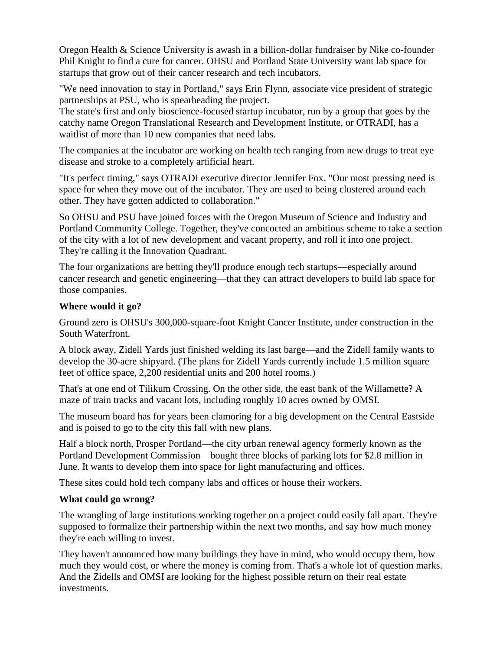Oregon Health & Science University is awash in a billion-dollar fundraiser by Nike co-founder Phil Knight to find a cure for cancer. OHSU and Portland State University want lab space for startups that grow out of their cancer research and tech incubators.

"We need innovation to stay in Portland," says Erin Flynn, associate vice president of strategic partnerships at PSU, who is spearheading the project.

The state's first and only bioscience-focused startup incubator, run by a group that goes by the catchy name Oregon Translational Research and Development Institute, or OTRADI, has a waitlist of more than 10 new companies that need labs.

The companies at the incubator are working on health tech ranging from new drugs to treat eye disease and stroke to a completely artificial heart.

"It's perfect timing," says OTRADI executive director Jennifer Fox. "Our most pressing need is space for when they move out of the incubator. They are used to being clustered around each other. They have gotten addicted to collaboration."

So OHSU and PSU have joined forces with the Oregon Museum of Science and Industry and Portland Community College. Together, they've concocted an ambitious scheme to take a section of the city with a lot of new development and vacant property, and roll it into one project. They're calling it the Innovation Quadrant.

The four organizations are betting they'll produce enough tech startups—especially around cancer research and genetic engineering—that they can attract developers to build lab space for those companies.

#### **Where would it go?**

Ground zero is OHSU's 300,000-square-foot Knight Cancer Institute, under construction in the South Waterfront.

A block away, Zidell Yards just finished welding its last barge—and the Zidell family wants to develop the 30-acre shipyard. (The plans for Zidell Yards currently include 1.5 million square feet of office space, 2,200 residential units and 200 hotel rooms.)

That's at one end of Tilikum Crossing. On the other side, the east bank of the Willamette? A maze of train tracks and vacant lots, including roughly 10 acres owned by OMSI.

The museum board has for years been clamoring for a big development on the Central Eastside and is poised to go to the city this fall with new plans.

Half a block north, Prosper Portland—the city urban renewal agency formerly known as the Portland Development Commission—bought three blocks of parking lots for \$2.8 million in June. It wants to develop them into space for light manufacturing and offices.

These sites could hold tech company labs and offices or house their workers.

#### **What could go wrong?**

The wrangling of large institutions working together on a project could easily fall apart. They're supposed to formalize their partnership within the next two months, and say how much money they're each willing to invest.

They haven't announced how many buildings they have in mind, who would occupy them, how much they would cost, or where the money is coming from. That's a whole lot of question marks. And the Zidells and OMSI are looking for the highest possible return on their real estate investments.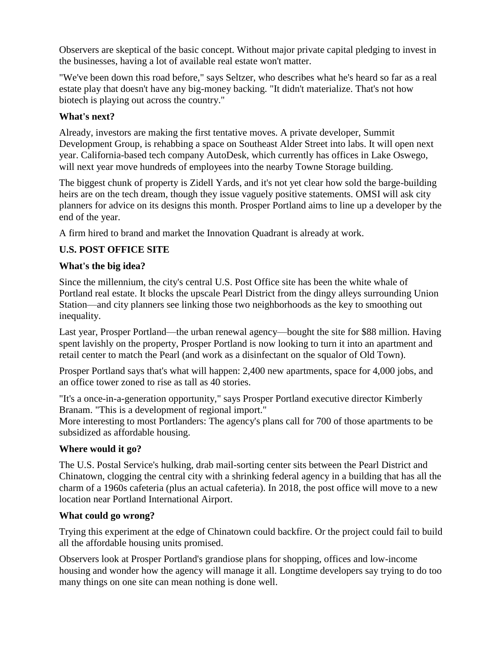Observers are skeptical of the basic concept. Without major private capital pledging to invest in the businesses, having a lot of available real estate won't matter.

"We've been down this road before," says Seltzer, who describes what he's heard so far as a real estate play that doesn't have any big-money backing. "It didn't materialize. That's not how biotech is playing out across the country."

### **What's next?**

Already, investors are making the first tentative moves. A private developer, Summit Development Group, is rehabbing a space on Southeast Alder Street into labs. It will open next year. California-based tech company AutoDesk, which currently has offices in Lake Oswego, will next year move hundreds of employees into the nearby Towne Storage building.

The biggest chunk of property is Zidell Yards, and it's not yet clear how sold the barge-building heirs are on the tech dream, though they issue vaguely positive statements. OMSI will ask city planners for advice on its designs this month. Prosper Portland aims to line up a developer by the end of the year.

A firm hired to brand and market the Innovation Quadrant is already at work.

## **U.S. POST OFFICE SITE**

### **What's the big idea?**

Since the millennium, the city's central U.S. Post Office site has been the white whale of Portland real estate. It blocks the upscale Pearl District from the dingy alleys surrounding Union Station—and city planners see linking those two neighborhoods as the key to smoothing out inequality.

Last year, Prosper Portland—the urban renewal agency—bought the site for \$88 million. Having spent lavishly on the property, Prosper Portland is now looking to turn it into an apartment and retail center to match the Pearl (and work as a disinfectant on the squalor of Old Town).

Prosper Portland says that's what will happen: 2,400 new apartments, space for 4,000 jobs, and an office tower zoned to rise as tall as 40 stories.

"It's a once-in-a-generation opportunity," says Prosper Portland executive director Kimberly Branam. "This is a development of regional import."

More interesting to most Portlanders: The agency's plans call for 700 of those apartments to be subsidized as affordable housing.

## **Where would it go?**

The U.S. Postal Service's hulking, drab mail-sorting center sits between the Pearl District and Chinatown, clogging the central city with a shrinking federal agency in a building that has all the charm of a 1960s cafeteria (plus an actual cafeteria). In 2018, the post office will move to a new location near Portland International Airport.

#### **What could go wrong?**

Trying this experiment at the edge of Chinatown could backfire. Or the project could fail to build all the affordable housing units promised.

Observers look at Prosper Portland's grandiose plans for shopping, offices and low-income housing and wonder how the agency will manage it all. Longtime developers say trying to do too many things on one site can mean nothing is done well.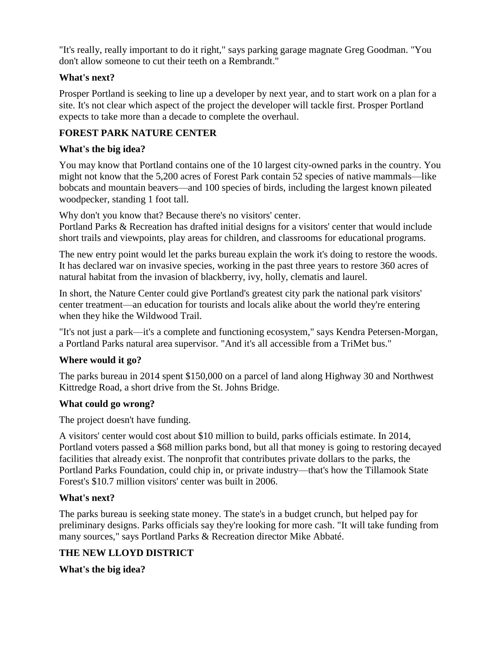"It's really, really important to do it right," says parking garage magnate Greg Goodman. "You don't allow someone to cut their teeth on a Rembrandt."

#### **What's next?**

Prosper Portland is seeking to line up a developer by next year, and to start work on a plan for a site. It's not clear which aspect of the project the developer will tackle first. Prosper Portland expects to take more than a decade to complete the overhaul.

## **FOREST PARK NATURE CENTER**

### **What's the big idea?**

You may know that Portland contains one of the 10 largest city-owned parks in the country. You might not know that the 5,200 acres of Forest Park contain 52 species of native mammals—like bobcats and mountain beavers—and 100 species of birds, including the largest known pileated woodpecker, standing 1 foot tall.

Why don't you know that? Because there's no visitors' center. Portland Parks & Recreation has drafted initial designs for a visitors' center that would include short trails and viewpoints, play areas for children, and classrooms for educational programs.

The new entry point would let the parks bureau explain the work it's doing to restore the woods. It has declared war on invasive species, working in the past three years to restore 360 acres of natural habitat from the invasion of blackberry, ivy, holly, clematis and laurel.

In short, the Nature Center could give Portland's greatest city park the national park visitors' center treatment—an education for tourists and locals alike about the world they're entering when they hike the Wildwood Trail.

"It's not just a park—it's a complete and functioning ecosystem," says Kendra Petersen-Morgan, a Portland Parks natural area supervisor. "And it's all accessible from a TriMet bus."

#### **Where would it go?**

The parks bureau in 2014 spent \$150,000 on a parcel of land along Highway 30 and Northwest Kittredge Road, a short drive from the St. Johns Bridge.

#### **What could go wrong?**

The project doesn't have funding.

A visitors' center would cost about \$10 million to build, parks officials estimate. In 2014, Portland voters passed a \$68 million parks bond, but all that money is going to restoring decayed facilities that already exist. The nonprofit that contributes private dollars to the parks, the Portland Parks Foundation, could chip in, or private industry—that's how the Tillamook State Forest's \$10.7 million visitors' center was built in 2006.

#### **What's next?**

The parks bureau is seeking state money. The state's in a budget crunch, but helped pay for preliminary designs. Parks officials say they're looking for more cash. "It will take funding from many sources," says Portland Parks & Recreation director Mike Abbaté.

## **THE NEW LLOYD DISTRICT**

**What's the big idea?**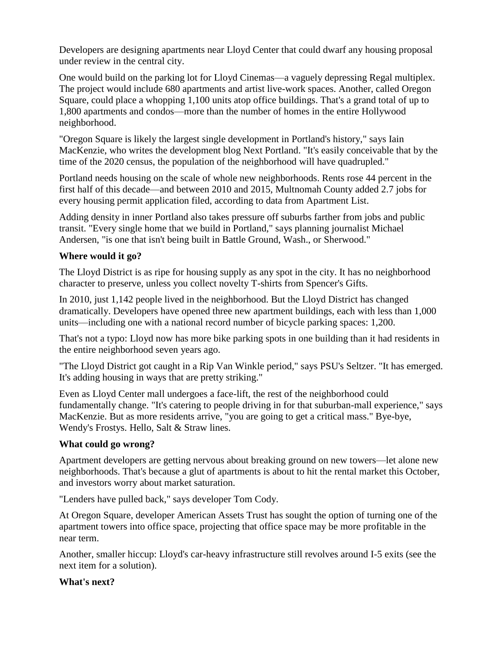Developers are designing apartments near Lloyd Center that could dwarf any housing proposal under review in the central city.

One would build on the parking lot for Lloyd Cinemas—a vaguely depressing Regal multiplex. The project would include 680 apartments and artist live-work spaces. Another, called Oregon Square, could place a whopping 1,100 units atop office buildings. That's a grand total of up to 1,800 apartments and condos—more than the number of homes in the entire Hollywood neighborhood.

"Oregon Square is likely the largest single development in Portland's history," says Iain MacKenzie, who writes the development blog Next Portland. "It's easily conceivable that by the time of the 2020 census, the population of the neighborhood will have quadrupled."

Portland needs housing on the scale of whole new neighborhoods. Rents rose 44 percent in the first half of this decade—and between 2010 and 2015, Multnomah County added 2.7 jobs for every housing permit application filed, according to data from Apartment List.

Adding density in inner Portland also takes pressure off suburbs farther from jobs and public transit. "Every single home that we build in Portland," says planning journalist Michael Andersen, "is one that isn't being built in Battle Ground, Wash., or Sherwood."

### **Where would it go?**

The Lloyd District is as ripe for housing supply as any spot in the city. It has no neighborhood character to preserve, unless you collect novelty T-shirts from Spencer's Gifts.

In 2010, just 1,142 people lived in the neighborhood. But the Lloyd District has changed dramatically. Developers have opened three new apartment buildings, each with less than 1,000 units—including one with a national record number of bicycle parking spaces: 1,200.

That's not a typo: Lloyd now has more bike parking spots in one building than it had residents in the entire neighborhood seven years ago.

"The Lloyd District got caught in a Rip Van Winkle period," says PSU's Seltzer. "It has emerged. It's adding housing in ways that are pretty striking."

Even as Lloyd Center mall undergoes a face-lift, the rest of the neighborhood could fundamentally change. "It's catering to people driving in for that suburban-mall experience," says MacKenzie. But as more residents arrive, "you are going to get a critical mass." Bye-bye, Wendy's Frostys. Hello, Salt & Straw lines.

## **What could go wrong?**

Apartment developers are getting nervous about breaking ground on new towers—let alone new neighborhoods. That's because a glut of apartments is about to hit the rental market this October, and investors worry about market saturation.

"Lenders have pulled back," says developer Tom Cody.

At Oregon Square, developer American Assets Trust has sought the option of turning one of the apartment towers into office space, projecting that office space may be more profitable in the near term.

Another, smaller hiccup: Lloyd's car-heavy infrastructure still revolves around I-5 exits (see the next item for a solution).

#### **What's next?**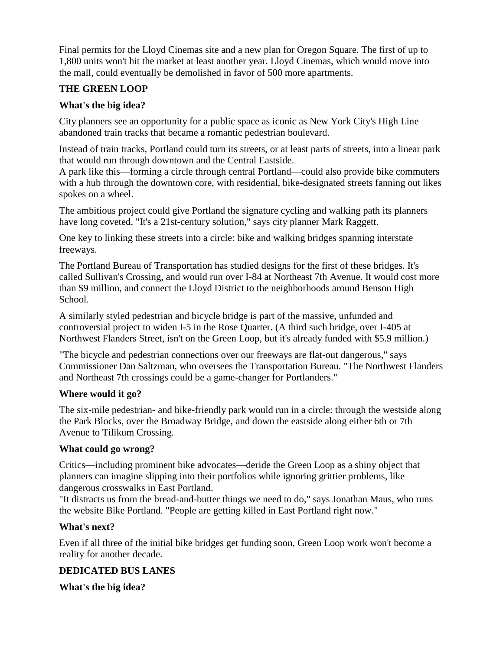Final permits for the Lloyd Cinemas site and a new plan for Oregon Square. The first of up to 1,800 units won't hit the market at least another year. Lloyd Cinemas, which would move into the mall, could eventually be demolished in favor of 500 more apartments.

### **THE GREEN LOOP**

### **What's the big idea?**

City planners see an opportunity for a public space as iconic as New York City's High Line abandoned train tracks that became a romantic pedestrian boulevard.

Instead of train tracks, Portland could turn its streets, or at least parts of streets, into a linear park that would run through downtown and the Central Eastside.

A park like this—forming a circle through central Portland—could also provide bike commuters with a hub through the downtown core, with residential, bike-designated streets fanning out likes spokes on a wheel.

The ambitious project could give Portland the signature cycling and walking path its planners have long coveted. "It's a 21st-century solution," says city planner Mark Raggett.

One key to linking these streets into a circle: bike and walking bridges spanning interstate freeways.

The Portland Bureau of Transportation has studied designs for the first of these bridges. It's called Sullivan's Crossing, and would run over I-84 at Northeast 7th Avenue. It would cost more than \$9 million, and connect the Lloyd District to the neighborhoods around Benson High School.

A similarly styled pedestrian and bicycle bridge is part of the massive, unfunded and controversial project to widen I-5 in the Rose Quarter. (A third such bridge, over I-405 at Northwest Flanders Street, isn't on the Green Loop, but it's already funded with \$5.9 million.)

"The bicycle and pedestrian connections over our freeways are flat-out dangerous," says Commissioner Dan Saltzman, who oversees the Transportation Bureau. "The Northwest Flanders and Northeast 7th crossings could be a game-changer for Portlanders."

#### **Where would it go?**

The six-mile pedestrian- and bike-friendly park would run in a circle: through the westside along the Park Blocks, over the Broadway Bridge, and down the eastside along either 6th or 7th Avenue to Tilikum Crossing.

## **What could go wrong?**

Critics—including prominent bike advocates—deride the Green Loop as a shiny object that planners can imagine slipping into their portfolios while ignoring grittier problems, like dangerous crosswalks in East Portland.

"It distracts us from the bread-and-butter things we need to do," says Jonathan Maus, who runs the website Bike Portland. "People are getting killed in East Portland right now."

#### **What's next?**

Even if all three of the initial bike bridges get funding soon, Green Loop work won't become a reality for another decade.

## **DEDICATED BUS LANES**

**What's the big idea?**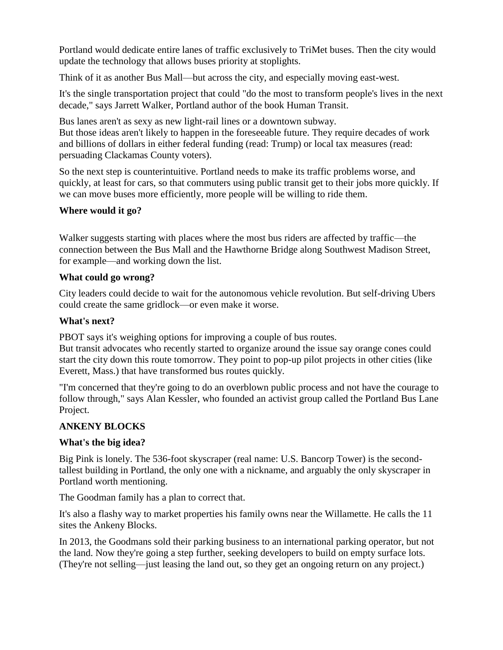Portland would dedicate entire lanes of traffic exclusively to TriMet buses. Then the city would update the technology that allows buses priority at stoplights.

Think of it as another Bus Mall—but across the city, and especially moving east-west.

It's the single transportation project that could "do the most to transform people's lives in the next decade," says Jarrett Walker, Portland author of the book Human Transit.

Bus lanes aren't as sexy as new light-rail lines or a downtown subway. But those ideas aren't likely to happen in the foreseeable future. They require decades of work and billions of dollars in either federal funding (read: Trump) or local tax measures (read: persuading Clackamas County voters).

So the next step is counterintuitive. Portland needs to make its traffic problems worse, and quickly, at least for cars, so that commuters using public transit get to their jobs more quickly. If we can move buses more efficiently, more people will be willing to ride them.

### **Where would it go?**

Walker suggests starting with places where the most bus riders are affected by traffic—the connection between the Bus Mall and the Hawthorne Bridge along Southwest Madison Street, for example—and working down the list.

#### **What could go wrong?**

City leaders could decide to wait for the autonomous vehicle revolution. But self-driving Ubers could create the same gridlock—or even make it worse.

### **What's next?**

PBOT says it's weighing options for improving a couple of bus routes.

But transit advocates who recently started to organize around the issue say orange cones could start the city down this route tomorrow. They point to pop-up pilot projects in other cities (like Everett, Mass.) that have transformed bus routes quickly.

"I'm concerned that they're going to do an overblown public process and not have the courage to follow through," says Alan Kessler, who founded an activist group called the Portland Bus Lane Project.

## **ANKENY BLOCKS**

#### **What's the big idea?**

Big Pink is lonely. The 536-foot skyscraper (real name: U.S. Bancorp Tower) is the secondtallest building in Portland, the only one with a nickname, and arguably the only skyscraper in Portland worth mentioning.

The Goodman family has a plan to correct that.

It's also a flashy way to market properties his family owns near the Willamette. He calls the 11 sites the Ankeny Blocks.

In 2013, the Goodmans sold their parking business to an international parking operator, but not the land. Now they're going a step further, seeking developers to build on empty surface lots. (They're not selling—just leasing the land out, so they get an ongoing return on any project.)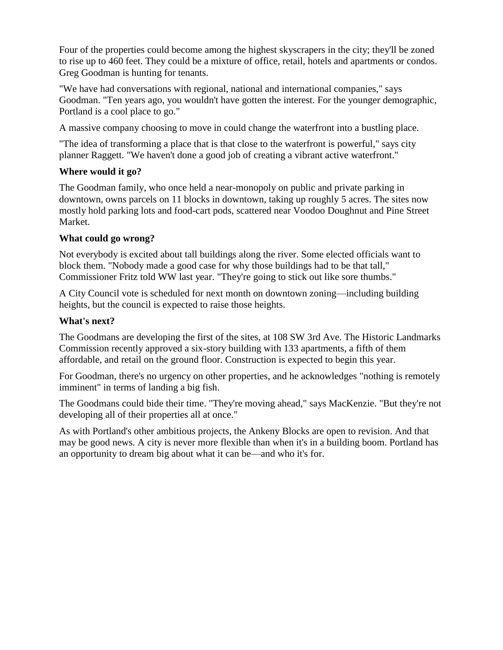Four of the properties could become among the highest skyscrapers in the city; they'll be zoned to rise up to 460 feet. They could be a mixture of office, retail, hotels and apartments or condos. Greg Goodman is hunting for tenants.

"We have had conversations with regional, national and international companies," says Goodman. "Ten years ago, you wouldn't have gotten the interest. For the younger demographic, Portland is a cool place to go."

A massive company choosing to move in could change the waterfront into a bustling place.

"The idea of transforming a place that is that close to the waterfront is powerful," says city planner Raggett. "We haven't done a good job of creating a vibrant active waterfront."

### **Where would it go?**

The Goodman family, who once held a near-monopoly on public and private parking in downtown, owns parcels on 11 blocks in downtown, taking up roughly 5 acres. The sites now mostly hold parking lots and food-cart pods, scattered near Voodoo Doughnut and Pine Street Market.

### **What could go wrong?**

Not everybody is excited about tall buildings along the river. Some elected officials want to block them. "Nobody made a good case for why those buildings had to be that tall," Commissioner Fritz told WW last year. "They're going to stick out like sore thumbs."

A City Council vote is scheduled for next month on downtown zoning—including building heights, but the council is expected to raise those heights.

## **What's next?**

The Goodmans are developing the first of the sites, at 108 SW 3rd Ave. The Historic Landmarks Commission recently approved a six-story building with 133 apartments, a fifth of them affordable, and retail on the ground floor. Construction is expected to begin this year.

For Goodman, there's no urgency on other properties, and he acknowledges "nothing is remotely imminent" in terms of landing a big fish.

The Goodmans could bide their time. "They're moving ahead," says MacKenzie. "But they're not developing all of their properties all at once."

As with Portland's other ambitious projects, the Ankeny Blocks are open to revision. And that may be good news. A city is never more flexible than when it's in a building boom. Portland has an opportunity to dream big about what it can be—and who it's for.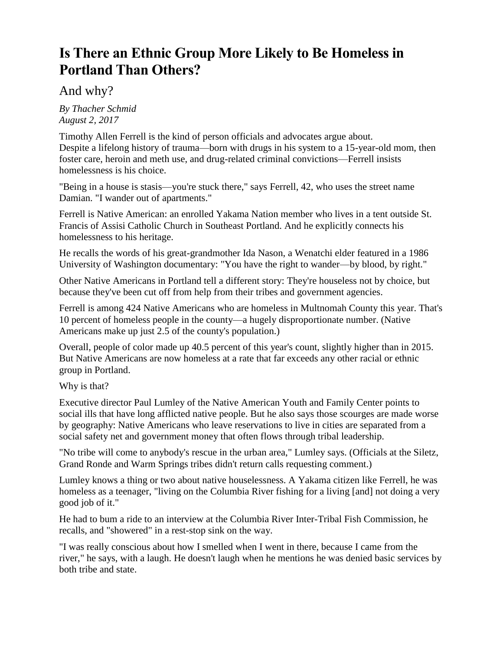## **Is There an Ethnic Group More Likely to Be Homeless in Portland Than Others?**

## And why?

*By Thacher Schmid August 2, 2017*

Timothy Allen Ferrell is the kind of person officials and advocates argue about. Despite a lifelong history of trauma—born with drugs in his system to a 15-year-old mom, then foster care, heroin and meth use, and drug-related criminal convictions—Ferrell insists homelessness is his choice.

"Being in a house is stasis—you're stuck there," says Ferrell, 42, who uses the street name Damian. "I wander out of apartments."

Ferrell is Native American: an enrolled Yakama Nation member who lives in a tent outside St. Francis of Assisi Catholic Church in Southeast Portland. And he explicitly connects his homelessness to his heritage.

He recalls the words of his great-grandmother Ida Nason, a Wenatchi elder featured in a 1986 University of Washington documentary: "You have the right to wander—by blood, by right."

Other Native Americans in Portland tell a different story: They're houseless not by choice, but because they've been cut off from help from their tribes and government agencies.

Ferrell is among 424 Native Americans who are homeless in Multnomah County this year. That's 10 percent of homeless people in the county—a hugely disproportionate number. (Native Americans make up just 2.5 of the county's population.)

Overall, people of color made up 40.5 percent of this year's count, slightly higher than in 2015. But Native Americans are now homeless at a rate that far exceeds any other racial or ethnic group in Portland.

Why is that?

Executive director Paul Lumley of the Native American Youth and Family Center points to social ills that have long afflicted native people. But he also says those scourges are made worse by geography: Native Americans who leave reservations to live in cities are separated from a social safety net and government money that often flows through tribal leadership.

"No tribe will come to anybody's rescue in the urban area," Lumley says. (Officials at the Siletz, Grand Ronde and Warm Springs tribes didn't return calls requesting comment.)

Lumley knows a thing or two about native houselessness. A Yakama citizen like Ferrell, he was homeless as a teenager, "living on the Columbia River fishing for a living [and] not doing a very good job of it."

He had to bum a ride to an interview at the Columbia River Inter-Tribal Fish Commission, he recalls, and "showered" in a rest-stop sink on the way.

"I was really conscious about how I smelled when I went in there, because I came from the river," he says, with a laugh. He doesn't laugh when he mentions he was denied basic services by both tribe and state.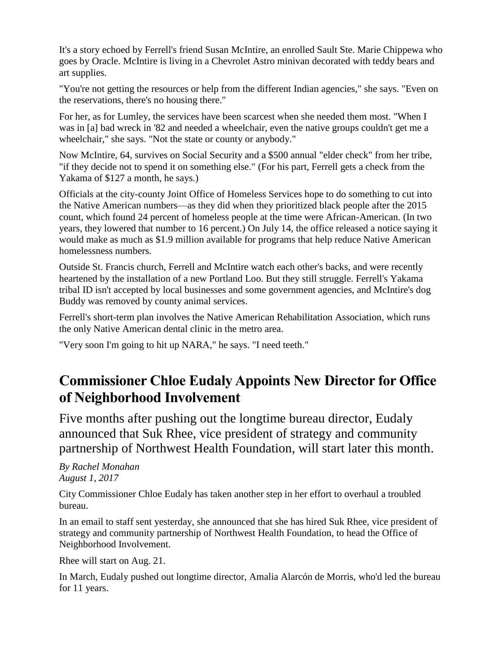It's a story echoed by Ferrell's friend Susan McIntire, an enrolled Sault Ste. Marie Chippewa who goes by Oracle. McIntire is living in a Chevrolet Astro minivan decorated with teddy bears and art supplies.

"You're not getting the resources or help from the different Indian agencies," she says. "Even on the reservations, there's no housing there."

For her, as for Lumley, the services have been scarcest when she needed them most. "When I was in [a] bad wreck in '82 and needed a wheelchair, even the native groups couldn't get me a wheelchair," she says. "Not the state or county or anybody."

Now McIntire, 64, survives on Social Security and a \$500 annual "elder check" from her tribe, "if they decide not to spend it on something else." (For his part, Ferrell gets a check from the Yakama of \$127 a month, he says.)

Officials at the city-county Joint Office of Homeless Services hope to do something to cut into the Native American numbers—as they did when they prioritized black people after the 2015 count, which found 24 percent of homeless people at the time were African-American. (In two years, they lowered that number to 16 percent.) On July 14, the office released a notice saying it would make as much as \$1.9 million available for programs that help reduce Native American homelessness numbers.

Outside St. Francis church, Ferrell and McIntire watch each other's backs, and were recently heartened by the installation of a new Portland Loo. But they still struggle. Ferrell's Yakama tribal ID isn't accepted by local businesses and some government agencies, and McIntire's dog Buddy was removed by county animal services.

Ferrell's short-term plan involves the Native American Rehabilitation Association, which runs the only Native American dental clinic in the metro area.

"Very soon I'm going to hit up NARA," he says. "I need teeth."

# **Commissioner Chloe Eudaly Appoints New Director for Office of Neighborhood Involvement**

Five months after pushing out the longtime bureau director, Eudaly announced that Suk Rhee, vice president of strategy and community partnership of Northwest Health Foundation, will start later this month.

*By Rachel Monahan August 1, 2017*

City Commissioner Chloe Eudaly has taken another step in her effort to overhaul a troubled bureau.

In an email to staff sent yesterday, she announced that she has hired Suk Rhee, vice president of strategy and community partnership of Northwest Health Foundation, to head the Office of Neighborhood Involvement.

Rhee will start on Aug. 21.

In March, Eudaly pushed out longtime director, Amalia Alarcón de Morris, who'd led the bureau for 11 years.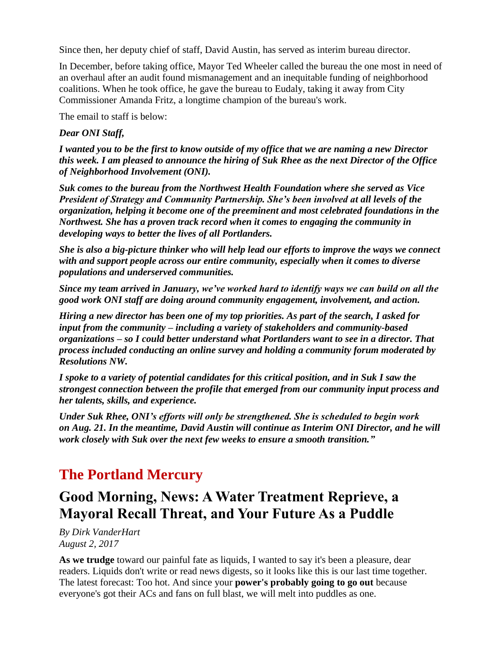Since then, her deputy chief of staff, David Austin, has served as interim bureau director.

In December, before taking office, Mayor Ted Wheeler called the bureau the one most in need of an overhaul after an audit found mismanagement and an inequitable funding of neighborhood coalitions. When he took office, he gave the bureau to Eudaly, taking it away from City Commissioner Amanda Fritz, a longtime champion of the bureau's work.

The email to staff is below:

#### *Dear ONI Staff,*

*I wanted you to be the first to know outside of my office that we are naming a new Director this week. I am pleased to announce the hiring of Suk Rhee as the next Director of the Office of Neighborhood Involvement (ONI).*

*Suk comes to the bureau from the Northwest Health Foundation where she served as Vice President of Strategy and Community Partnership. She's been involved at all levels of the organization, helping it become one of the preeminent and most celebrated foundations in the Northwest. She has a proven track record when it comes to engaging the community in developing ways to better the lives of all Portlanders.*

*She is also a big-picture thinker who will help lead our efforts to improve the ways we connect with and support people across our entire community, especially when it comes to diverse populations and underserved communities.*

*Since my team arrived in January, we've worked hard to identify ways we can build on all the good work ONI staff are doing around community engagement, involvement, and action.*

*Hiring a new director has been one of my top priorities. As part of the search, I asked for input from the community – including a variety of stakeholders and community-based organizations – so I could better understand what Portlanders want to see in a director. That process included conducting an online survey and holding a community forum moderated by Resolutions NW.*

*I spoke to a variety of potential candidates for this critical position, and in Suk I saw the strongest connection between the profile that emerged from our community input process and her talents, skills, and experience.*

*Under Suk Rhee, ONI's efforts will only be strengthened. She is scheduled to begin work on Aug. 21. In the meantime, David Austin will continue as Interim ONI Director, and he will work closely with Suk over the next few weeks to ensure a smooth transition."*

## **The Portland Mercury**

## **Good Morning, News: A Water Treatment Reprieve, a Mayoral Recall Threat, and Your Future As a Puddle**

*By Dirk VanderHart August 2, 2017*

**As we trudge** toward our painful fate as liquids, I wanted to say it's been a pleasure, dear readers. Liquids don't write or read news digests, so it looks like this is our last time together. The latest forecast: Too hot. And since your **[power's probably going to go out](http://www.opb.org/news/article/oregon-heat-storm-power-outages-portland-general-electric/)** because everyone's got their ACs and fans on full blast, we will melt into puddles as one.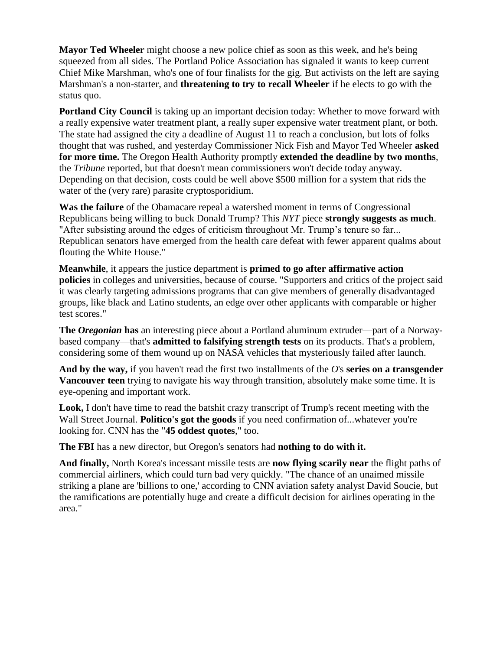**Mayor Ted Wheeler** might choose a new police chief as soon as this week, and he's being squeezed from all sides. The Portland Police Association has signaled it wants to keep current Chief Mike Marshman, who's one of four finalists for the gig. But activists on the left are saying Marshman's a non-starter, and **[threatening to try to recall Wheeler](http://www.portlandmercury.com/blogtown/2017/08/01/19204255/portlands-resistance-to-mayor-wheeler-replace-chief-marshman-or-face-recall-effort)** if he elects to go with the status quo.

**Portland City Council** is taking up an important decision today: Whether to move forward with a really expensive water treatment plant, a really super expensive water treatment plant, or both. The state had assigned the city a deadline of August 11 to reach a conclusion, but lots of folks thought that was rushed, and yesterday Commissioner Nick Fish and Mayor Ted Wheeler **[asked](http://www.portlandmercury.com/blogtown/2017/08/01/19204266/officials-want-more-time-to-scrutinize-a-new-water-treatment-plant-but-a-decision-still-might-come-tomorrow)  [for more time.](http://www.portlandmercury.com/blogtown/2017/08/01/19204266/officials-want-more-time-to-scrutinize-a-new-water-treatment-plant-but-a-decision-still-might-come-tomorrow)** The Oregon Health Authority promptly **[extended the deadline by two months](http://portlandtribune.com/pt/9-news/368017-250355-portland-granted-60-day-delay-on-crypto-decision)**, the *Tribune* reported, but that doesn't mean commissioners won't decide today anyway. Depending on that decision, costs could be well above \$500 million for a system that rids the water of the (very rare) parasite cryptosporidium.

**Was the failure** of the Obamacare repeal a watershed moment in terms of Congressional Republicans being willing to buck Donald Trump? This *NYT* piece **[strongly suggests as much](https://www.nytimes.com/2017/08/01/us/politics/senate-gop-flouts-trump-after-health-care-defeat.html?hp&action=click&pgtype=Homepage&clickSource=story-heading&module=first-column-region®ion=top-news&WT.nav=top-news)**. "After subsisting around the edges of criticism throughout Mr. Trump's tenure so far... Republican senators have emerged from the health care defeat with fewer apparent qualms about flouting the White House."

**Meanwhile**, it appears the justice department is **[primed to go after affirmative action](https://www.nytimes.com/2017/08/01/us/politics/trump-affirmative-action-universities.html?_r=0)  [policies](https://www.nytimes.com/2017/08/01/us/politics/trump-affirmative-action-universities.html?_r=0)** in colleges and universities, because of course. "Supporters and critics of the project said it was clearly targeting admissions programs that can give members of generally disadvantaged groups, like black and Latino students, an edge over other applicants with comparable or higher test scores."

**The** *Oregonian* **has** an interesting piece about a Portland aluminum extruder—part of a Norwaybased company—that's **[admitted to falsifying strength tests](http://www.oregonlive.com/business/index.ssf/2017/08/after_failed_space_flights_nas.html#incart_river_home)** on its products. That's a problem, considering some of them wound up on NASA vehicles that mysteriously failed after launch.

**And by the way,** if you haven't read the first two installments of the *O*'s **[series on a transgender](http://www.oregonlive.com/transgender-health/2017/07/about_a_boy_jays_life_as_a_tra.html#incart_big-photo)  [Vancouver teen](http://www.oregonlive.com/transgender-health/2017/07/about_a_boy_jays_life_as_a_tra.html#incart_big-photo)** trying to navigate his way through transition, absolutely make some time. It is eye-opening and important work.

**Look,** I don't have time to read the batshit crazy transcript of Trump's recent meeting with the Wall Street Journal. **[Politico's got the goods](http://www.politico.com/story/2017/08/01/trump-wall-street-journal-interview-full-transcript-241214)** if you need confirmation of...whatever you're looking for. CNN has the "**[45 oddest quotes](http://www.cnn.com/2017/08/02/politics/donald-trump-wsj-interview/index.html)**," too.

**The FBI** has a new director, but Oregon's senators had **[nothing to do with it.](http://www.oregonlive.com/politics/index.ssf/2017/08/oregon_sens_wyden_merkley_vote.html#incart_river_home)**

**And finally,** North Korea's incessant missile tests are **[now flying scarily near](http://www.cnn.com/2017/08/02/asia/north-korea-aviation-risks/index.html)** the flight paths of commercial airliners, which could turn bad very quickly. "The chance of an unaimed missile striking a plane are 'billions to one,' according to CNN aviation safety analyst David Soucie, but the ramifications are potentially huge and create a difficult decision for airlines operating in the area."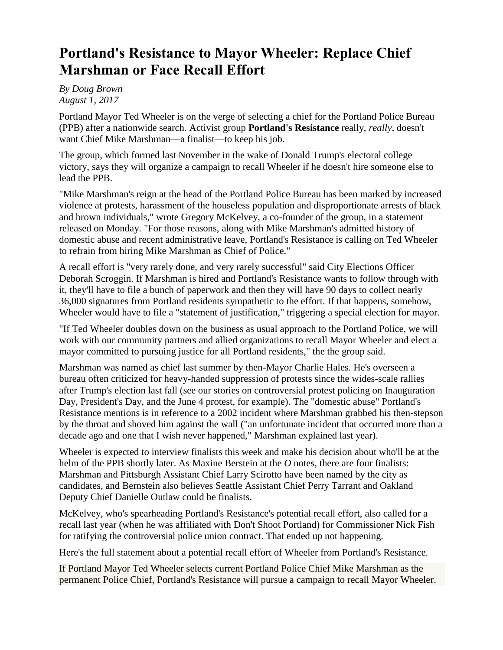# **Portland's Resistance to Mayor Wheeler: Replace Chief Marshman or Face Recall Effort**

*By Doug Brown August 1, 2017*

Portland Mayor Ted Wheeler is on the verge of selecting a chief for the Portland Police Bureau (PPB) after a nationwide search. Activist group **[Portland's Resistance](https://twitter.com/Pdx_resistance)** really, *really*, doesn't want Chief Mike Marshman—a finalist—to keep his job.

The group, which formed last November in the wake of Donald Trump's electoral college victory, says they will organize a campaign to recall Wheeler if he doesn't hire someone else to lead the PPB.

"Mike Marshman's reign at the head of the Portland Police Bureau has been marked by increased violence at protests, harassment of the houseless population and disproportionate arrests of black and brown individuals," wrote Gregory McKelvey, a co-founder of the group, in a statement released on Monday. "For those reasons, along with Mike Marshman's admitted history of domestic abuse and recent administrative leave, Portland's Resistance is calling on Ted Wheeler to refrain from hiring Mike Marshman as Chief of Police."

A recall effort is "very rarely done, and very rarely successful" said City Elections Officer Deborah Scroggin. If Marshman is hired and Portland's Resistance wants to follow through with it, they'll have to file a bunch of paperwork and then they will have 90 days to collect nearly 36,000 signatures from Portland residents sympathetic to the effort. If that happens, somehow, Wheeler would have to file a ["statement of justification,](http://sos.oregon.gov/elections/Documents/SEL352.pdf)" triggering a special election for mayor.

"If Ted Wheeler doubles down on the business as usual approach to the Portland Police, we will work with our community partners and allied organizations to recall Mayor Wheeler and elect a mayor committed to pursuing justice for all Portland residents," the the group said.

Marshman was named as chief last summer by then-Mayor Charlie Hales. He's overseen a bureau often criticized for heavy-handed suppression of protests since the wides-scale rallies after Trump's election last fall (see our stories on controversial protest policing on [Inauguration](http://www.portlandmercury.com/news/2017/01/25/18814554/police-blasted-and-tear-gassed-an-inauguration-day-protest)  [Day,](http://www.portlandmercury.com/news/2017/01/25/18814554/police-blasted-and-tear-gassed-an-inauguration-day-protest) [President's Day,](http://www.portlandmercury.com/news/2017/02/22/18858102/roughed-up) and [the June 4 protest,](http://www.portlandmercury.com/blogtown/2017/06/23/19112478/mike-marshman-say-detaining-photographing-demonstrators-was-necessary-to-curatil-violence-in-june-4-protests) for example). The "domestic abuse" Portland's Resistance mentions is in reference to a 2002 incident where Marshman [grabbed his then-stepson](http://www.oregonlive.com/portland/index.ssf/2016/07/chief_mike_marshman_regrets_gr.html)  [by the throat and shoved him against the wall](http://www.oregonlive.com/portland/index.ssf/2016/07/chief_mike_marshman_regrets_gr.html) ("an unfortunate incident that occurred more than a decade ago and one that I wish never happened," Marshman explained last year).

Wheeler is expected to interview finalists this week and make his decision about who'll be at the helm of the PPB shortly later. As [Maxine Berstein at the](http://www.oregonlive.com/portland/index.ssf/2017/07/former_chief_charles_moose_did.html) *O* notes, there are four finalists: Marshman and Pittsburgh Assistant Chief Larry Scirotto have been named by the city as candidates, and Bernstein also believes Seattle Assistant Chief Perry Tarrant and Oakland Deputy Chief Danielle Outlaw could be finalists.

McKelvey, who's spearheading Portland's Resistance's potential recall effort, [also called for a](http://www.portlandmercury.com/blogtown/2016/10/14/18631542/dont-shoot-portland-activists-now-hope-to-recall-nick-fish-not-amanda-fritz)  [recall last year](http://www.portlandmercury.com/blogtown/2016/10/14/18631542/dont-shoot-portland-activists-now-hope-to-recall-nick-fish-not-amanda-fritz) (when he was affiliated with Don't Shoot Portland) for Commissioner Nick Fish for ratifying the controversial police union contract. That ended up not happening.

Here's the full statement about a potential recall effort of Wheeler from Portland's Resistance.

If Portland Mayor Ted Wheeler selects current Portland Police Chief Mike Marshman as the permanent Police Chief, Portland's Resistance will pursue a campaign to recall Mayor Wheeler.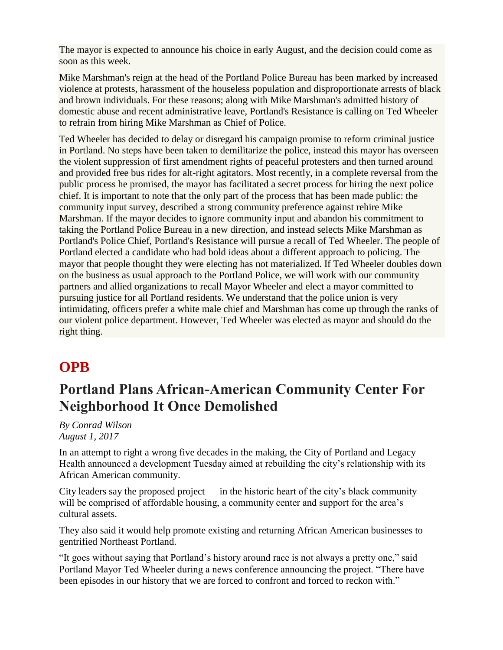The mayor is expected to announce his choice in early August, and the decision could come as soon as this week.

Mike Marshman's reign at the head of the Portland Police Bureau has been marked by increased violence at protests, harassment of the houseless population and disproportionate arrests of black and brown individuals. For these reasons; along with Mike Marshman's admitted history of domestic abuse and recent administrative leave, Portland's Resistance is calling on Ted Wheeler to refrain from hiring Mike Marshman as Chief of Police.

Ted Wheeler has decided to delay or disregard his campaign promise to reform criminal justice in Portland. No steps have been taken to demilitarize the police, instead this mayor has overseen the violent suppression of first amendment rights of peaceful protesters and then turned around and provided free bus rides for alt-right agitators. Most recently, in a complete reversal from the public process he promised, the mayor has facilitated a secret process for hiring the next police chief. It is important to note that the only part of the process that has been made public: the community input survey, described a strong community preference against rehire Mike Marshman. If the mayor decides to ignore community input and abandon his commitment to taking the Portland Police Bureau in a new direction, and instead selects Mike Marshman as Portland's Police Chief, Portland's Resistance will pursue a recall of Ted Wheeler. The people of Portland elected a candidate who had bold ideas about a different approach to policing. The mayor that people thought they were electing has not materialized. If Ted Wheeler doubles down on the business as usual approach to the Portland Police, we will work with our community partners and allied organizations to recall Mayor Wheeler and elect a mayor committed to pursuing justice for all Portland residents. We understand that the police union is very intimidating, officers prefer a white male chief and Marshman has come up through the ranks of our violent police department. However, Ted Wheeler was elected as mayor and should do the right thing.

# **OPB**

# **Portland Plans African-American Community Center For Neighborhood It Once Demolished**

*By Conrad Wilson August 1, 2017*

In an attempt to right a wrong five decades in the making, the City of Portland and Legacy Health announced a development Tuesday aimed at rebuilding the city's relationship with its African American community.

City leaders say the proposed project — in the historic heart of the city's black community will be comprised of affordable housing, a community center and support for the area's cultural assets.

They also said it would help promote existing and returning African American businesses to gentrified Northeast Portland.

"It goes without saying that Portland's history around race is not always a pretty one," said Portland Mayor Ted Wheeler during a news conference announcing the project. "There have been episodes in our history that we are forced to confront and forced to reckon with."